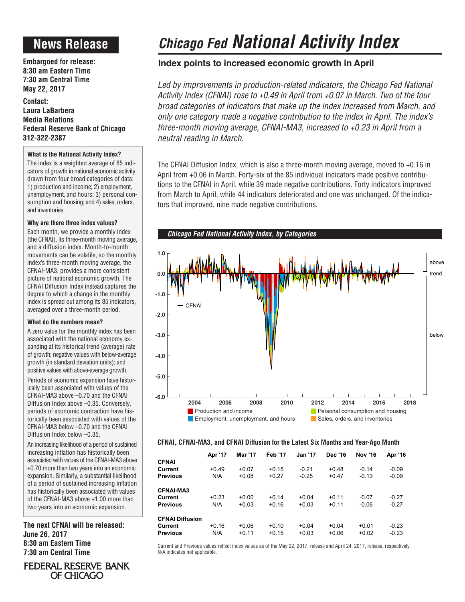# **News Release**

**Embargoed for release: 8:30 am Eastern Time 7:30 am Central Time May 22, 2017**

**Contact: Laura LaBarbera Media Relations Federal Reserve Bank of Chicago 312-322-2387**

## **What is the National Activity Index?**

The index is a weighted average of 85 indicators of growth in national economic activity drawn from four broad categories of data: 1) production and income; 2) employment, unemployment, and hours; 3) personal consumption and housing; and 4) sales, orders, and inventories.

### **Why are there three index values?**

Each month, we provide a monthly index (the CFNAI), its three-month moving average, and a diffusion index. Month-to-month movements can be volatile, so the monthly index's three-month moving average, the CFNAI-MA3, provides a more consistent picture of national economic growth. The CFNAI Diffusion Index instead captures the degree to which a change in the monthly index is spread out among its 85 indicators, averaged over a three-month period.

### **What do the numbers mean?**

A zero value for the monthly index has been associated with the national economy expanding at its historical trend (average) rate of growth; negative values with below-average growth (in standard deviation units); and positive values with above-average growth.

Periods of economic expansion have historically been associated with values of the CFNAI-MA3 above –0.70 and the CFNAI Diffusion Index above –0.35. Conversely, periods of economic contraction have historically been associated with values of the CFNAI-MA3 below –0.70 and the CFNAI Diffusion Index below –0.35.

An increasing likelihood of a period of sustained increasing inflation has historically been associated with values of the CFNAI-MA3 above +0.70 more than two years into an economic expansion. Similarly, a substantial likelihood of a period of sustained increasing inflation has historically been associated with values of the CFNAI-MA3 above +1.00 more than two years into an economic expansion.

**The next CFNAI will be released: June 26, 2017 8:30 am Eastern Time 7:30 am Central Time**

**FEDERAL RESERVE BANK** OF CHICAGO



### **CFNAI, CFNAI-MA3, and CFNAI Diffusion for the Latest Six Months and Year-Ago Month**

|                        | Apr '17 | <b>Mar '17</b> | <b>Feb '17</b> | <b>Jan '17</b> | <b>Dec '16</b> | <b>Nov '16</b> | Apr '16 |
|------------------------|---------|----------------|----------------|----------------|----------------|----------------|---------|
| <b>CFNAI</b>           |         |                |                |                |                |                |         |
| Current                | $+0.49$ | $+0.07$        | $+0.15$        | $-0.21$        | $+0.48$        | $-0.14$        | $-0.09$ |
| <b>Previous</b>        | N/A     | $+0.08$        | $+0.27$        | $-0.25$        | $+0.47$        | $-0.13$        | $-0.09$ |
| <b>CFNAI-MA3</b>       |         |                |                |                |                |                |         |
| Current                | $+0.23$ | $+0.00$        | $+0.14$        | $+0.04$        | $+0.11$        | $-0.07$        | $-0.27$ |
| <b>Previous</b>        | N/A     | $+0.03$        | $+0.16$        | $+0.03$        | $+0.11$        | $-0.06$        | $-0.27$ |
| <b>CFNAI Diffusion</b> |         |                |                |                |                |                |         |
| Current                | $+0.16$ | $+0.06$        | $+0.10$        | $+0.04$        | $+0.04$        | $+0.01$        | $-0.23$ |
| <b>Previous</b>        | N/A     | $+0.11$        | $+0.15$        | $+0.03$        | $+0.06$        | $+0.02$        | $-0.23$ |

Current and Previous values reflect index values as of the May 22, 2017, release and April 24, 2017, release, respectively. N/A indicates not applicable.

# *Chicago Fed National Activity Index*

## **Index points to increased economic growth in April**

Led by improvements in production-related indicators, the Chicago Fed National *Activity Index (CFNAI) rose to +0.49 in April from +0.07 in March. Two of the four broad categories of indicators that make up the index increased from March, and only one category made a negative contribution to the index in April. The index's three-month moving average, CFNAI-MA3, increased to +0.23 in April from a neutral reading in March.*

The CFNAI Diffusion Index, which is also a three-month moving average, moved to +0.16 in April from +0.06 in March. Forty-six of the 85 individual indicators made positive contributions to the CFNAI in April, while 39 made negative contributions. Forty indicators improved from March to April, while 44 indicators deteriorated and one was unchanged. Of the indicators that improved, nine made negative contributions.